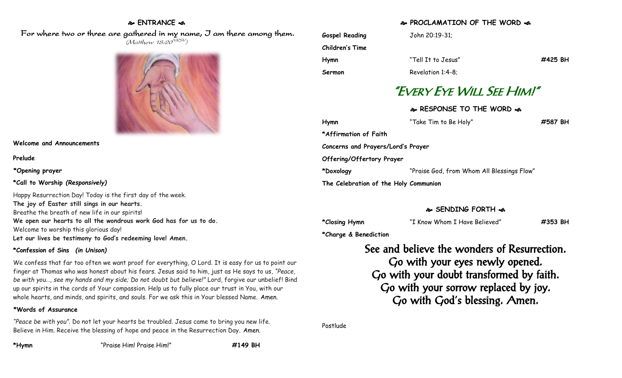## **ENTRANCE**

 For where two or three are gathered in my name, I am there among them.  $(M$ atthew 18:20 $^{VRSV})$ 



**Welcome and Announcements**

**Prelude**

**\*Opening prayer**

**\*Call to Worship** *(Responsively)*

Happy Resurrection Day! Today is the first day of the week. **The joy of Easter still sings in our hearts.** Breathe the breath of new life in our spirits! **We open our hearts to all the wondrous work God has for us to do.** Welcome to worship this glorious day! **Let our lives be testimony to God's redeeming love! Amen.**

## **\*Confession of Sins** *(in Unison)*

We confess that far too often we want proof for everything, O Lord. It is easy for us to point our finger at Thomas who was honest about his fears. Jesus said to him, just as He says to us, *"Peace, be with you…, see my hands and my side; Do not doubt but believe!"* Lord, forgive our unbelief! Bind up our spirits in the cords of Your compassion. Help us to fully place our trust in You, with our whole hearts, and minds, and spirits, and souls. For we ask this in Your blessed Name. Amen.

## **\*Words of Assurance**

*"Peace be with you".* Do not let your hearts be troubled. Jesus came to bring you new life. Believe in Him. Receive the blessing of hope and peace in the Resurrection Day. Amen.

| xі. | lymı |
|-----|------|
|     |      |

**\*Hymn** "Praise Him! Praise Him!" **#149 BH**

## **PROCLAMATION OF THE WORD**

| <b>Gospel Reading</b> | John 20:19-31;     |         |
|-----------------------|--------------------|---------|
| Children's Time       |                    |         |
| Hymn                  | "Tell It to Jesus" | #425 BH |
| Sermon                | Revelation 1:4-8;  |         |

# "EVERY EYE WILL SEE HIM!"

**RESPONSE TO THE WORD**  $\approx$ 

| Hymn                                  | "Take Tim to Be Holy"                      | #587 BH |
|---------------------------------------|--------------------------------------------|---------|
| *Affirmation of Faith                 |                                            |         |
| Concerns and Prayers/Lord's Prayer    |                                            |         |
| Offering/Offertory Prayer             |                                            |         |
| *Doxology                             | "Praise God, from Whom All Blessings Flow" |         |
| The Celebration of the Holy Communion |                                            |         |

## **SENDING FORTH**

**\*Closing Hymn** "I Know Whom I Have Believed" **#353 BH**

**\*Charge & Benediction**

See and believe the wonders of Resurrection. Go with your eyes newly opened. Go with your doubt transformed by faith. Go with your sorrow replaced by joy. Go with God's blessing. Amen.

Postlude